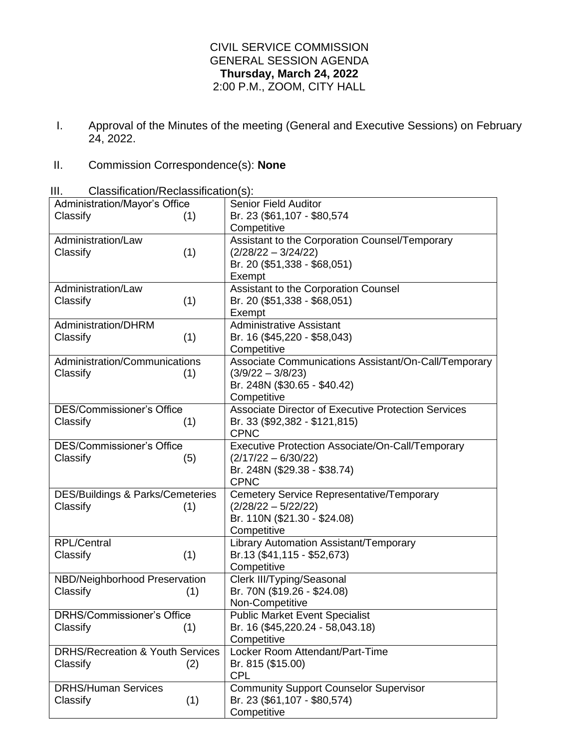## CIVIL SERVICE COMMISSION GENERAL SESSION AGENDA **Thursday, March 24, 2022** 2:00 P.M., ZOOM, CITY HALL

I. Approval of the Minutes of the meeting (General and Executive Sessions) on February 24, 2022.

## II. Commission Correspondence(s): **None**

III. Classification/Reclassification(s):

| Administration/Mayor's Office               | <b>Senior Field Auditor</b>                                |
|---------------------------------------------|------------------------------------------------------------|
| Classify<br>(1)                             | Br. 23 (\$61,107 - \$80,574)                               |
|                                             | Competitive                                                |
| Administration/Law                          | Assistant to the Corporation Counsel/Temporary             |
| (1)<br>Classify                             | $(2/28/22 - 3/24/22)$                                      |
|                                             | Br. 20 (\$51,338 - \$68,051)                               |
|                                             | Exempt                                                     |
| Administration/Law                          | Assistant to the Corporation Counsel                       |
| (1)<br>Classify                             | Br. 20 (\$51,338 - \$68,051)                               |
|                                             | Exempt                                                     |
| Administration/DHRM                         | <b>Administrative Assistant</b>                            |
| (1)<br>Classify                             | Br. 16 (\$45,220 - \$58,043)                               |
|                                             | Competitive                                                |
| Administration/Communications               | Associate Communications Assistant/On-Call/Temporary       |
| Classify<br>(1)                             | $(3/9/22 - 3/8/23)$                                        |
|                                             | Br. 248N (\$30.65 - \$40.42)                               |
|                                             | Competitive                                                |
| <b>DES/Commissioner's Office</b>            | <b>Associate Director of Executive Protection Services</b> |
| Classify<br>(1)                             | Br. 33 (\$92,382 - \$121,815)                              |
|                                             | <b>CPNC</b>                                                |
| <b>DES/Commissioner's Office</b>            | Executive Protection Associate/On-Call/Temporary           |
| Classify<br>(5)                             | $(2/17/22 - 6/30/22)$                                      |
|                                             | Br. 248N (\$29.38 - \$38.74)                               |
|                                             | <b>CPNC</b>                                                |
| <b>DES/Buildings &amp; Parks/Cemeteries</b> | Cemetery Service Representative/Temporary                  |
| Classify<br>(1)                             | $(2/28/22 - 5/22/22)$                                      |
|                                             | Br. 110N (\$21.30 - \$24.08)                               |
|                                             | Competitive                                                |
| <b>RPL/Central</b>                          | Library Automation Assistant/Temporary                     |
| Classify<br>(1)                             | Br.13 (\$41,115 - \$52,673)                                |
|                                             | Competitive                                                |
| NBD/Neighborhood Preservation               | Clerk III/Typing/Seasonal                                  |
| Classify<br>(1)                             | Br. 70N (\$19.26 - \$24.08)                                |
|                                             | Non-Competitive                                            |
| <b>DRHS/Commissioner's Office</b>           | <b>Public Market Event Specialist</b>                      |
| Classify<br>(1)                             | Br. 16 (\$45,220.24 - 58,043.18)                           |
|                                             | Competitive                                                |
| <b>DRHS/Recreation &amp; Youth Services</b> | Locker Room Attendant/Part-Time                            |
| Classify<br>(2)                             | Br. 815 (\$15.00)                                          |
|                                             | <b>CPL</b>                                                 |
| <b>DRHS/Human Services</b>                  | <b>Community Support Counselor Supervisor</b>              |
| (1)<br>Classify                             | Br. 23 (\$61,107 - \$80,574)                               |
|                                             | Competitive                                                |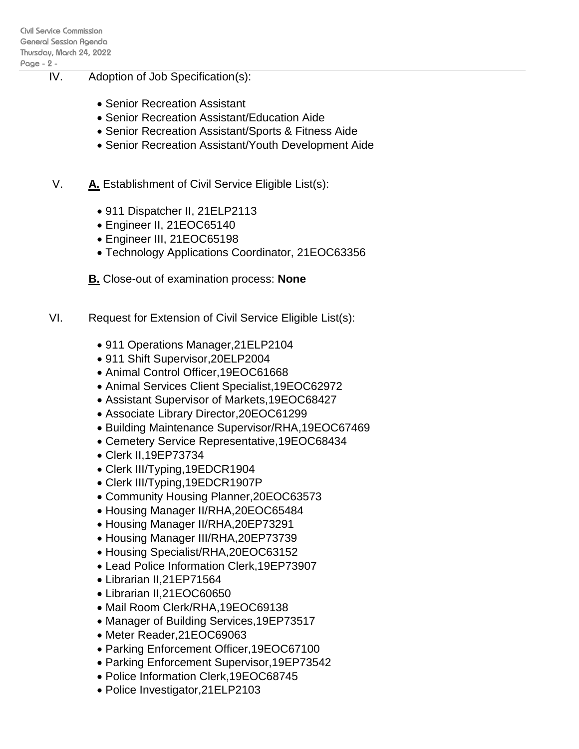- IV. Adoption of Job Specification(s):
	- Senior Recreation Assistant
	- Senior Recreation Assistant/Education Aide
	- Senior Recreation Assistant/Sports & Fitness Aide
	- Senior Recreation Assistant/Youth Development Aide
	- V. **A.** Establishment of Civil Service Eligible List(s):
		- 911 Dispatcher II, 21ELP2113
		- Engineer II, 21EOC65140
		- Engineer III, 21EOC65198
		- Technology Applications Coordinator, 21EOC63356
		- **B.** Close-out of examination process: **None**
- VI. Request for Extension of Civil Service Eligible List(s):
	- 911 Operations Manager,21ELP2104
	- 911 Shift Supervisor,20ELP2004
	- Animal Control Officer,19EOC61668
	- Animal Services Client Specialist,19EOC62972
	- Assistant Supervisor of Markets,19EOC68427
	- Associate Library Director,20EOC61299
	- Building Maintenance Supervisor/RHA,19EOC67469
	- Cemetery Service Representative,19EOC68434
	- Clerk II,19EP73734
	- Clerk III/Typing,19EDCR1904
	- Clerk III/Typing,19EDCR1907P
	- Community Housing Planner,20EOC63573
	- Housing Manager II/RHA,20EOC65484
	- Housing Manager II/RHA,20EP73291
	- Housing Manager III/RHA,20EP73739
	- Housing Specialist/RHA, 20EOC63152
	- Lead Police Information Clerk,19EP73907
	- Librarian II,21EP71564
	- Librarian II,21EOC60650
	- Mail Room Clerk/RHA, 19EOC69138
	- Manager of Building Services, 19EP73517
	- Meter Reader,21EOC69063
	- Parking Enforcement Officer,19EOC67100
	- Parking Enforcement Supervisor,19EP73542
	- Police Information Clerk,19EOC68745
	- Police Investigator,21ELP2103